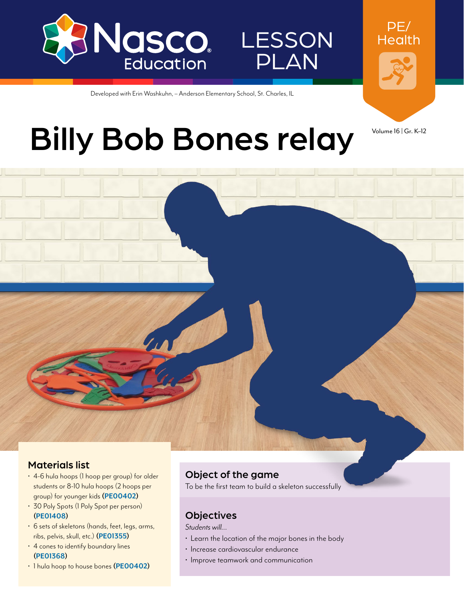

LESSON PLAN

PE/ **Health** 

# **Billy Bob Bones relay Volume 16 | Gr. K–12**

Developed with Erin Washkuhn, – Anderson Elementary School, St. Charles, IL

#### Materials list

- 4-6 hula hoops (1 hoop per group) for older students or 8-10 hula hoops (2 hoops per group) for younger kids **[\(PE00402](http://www.enasco.com/p/PE00402))**
- 30 Poly Spots (1 Poly Spot per person) **[\(PE01408](http://www.enasco.com/p/PE01408))**
- 6 sets of skeletons (hands, feet, legs, arms, ribs, pelvis, skull, etc.) **[\(PE01355](http://www.enasco.com/p/PE01355))**
- 4 cones to identify boundary lines **[\(PE01368](http://www.enasco.com/p/PE01368))**
- 1 hula hoop to house bones **[\(PE00402](http://www.enasco.com/p/PE00402))**

## Object of the game

To be the first team to build a skeleton successfully

## **Objectives**

*Students will…*

- Learn the location of the major bones in the body
- Increase cardiovascular endurance
- Improve teamwork and communication